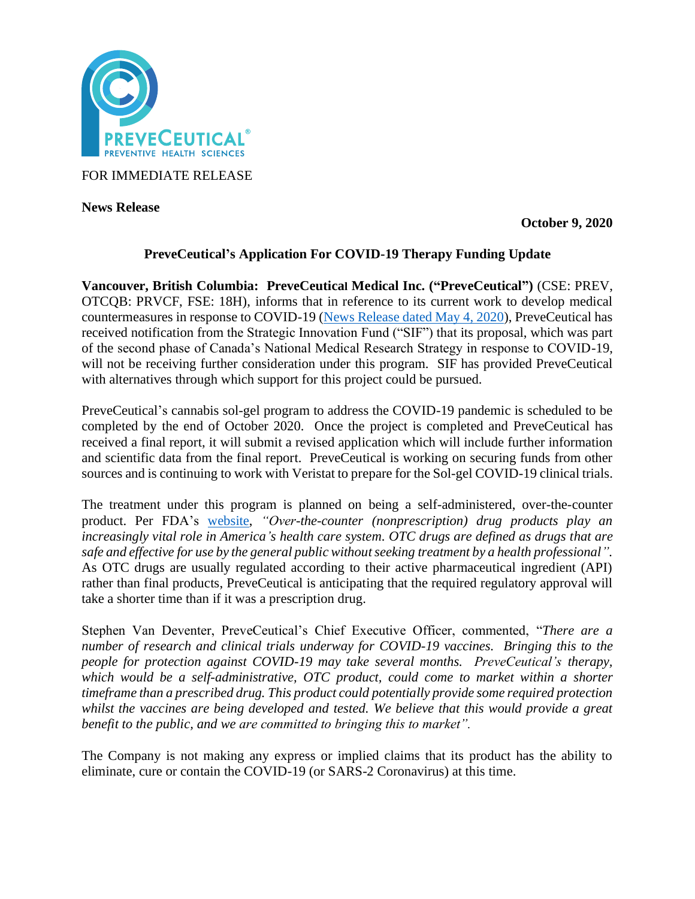

FOR IMMEDIATE RELEASE

**News Release** 

**October 9, 2020**

# **PreveCeutical's Application For COVID-19 Therapy Funding Update**

**Vancouver, British Columbia: PreveCeutical Medical Inc. ("PreveCeutical")** (CSE: PREV, OTCQB: PRVCF, FSE: 18H), informs that in reference to its current work to develop medical countermeasures in response to COVID-19 [\(News Release dated May 4, 2020\)](https://www.preveceutical.com/investors/news/preveceutical-announces-possible-viral-prevention-program-using-cbd-sol-gel), PreveCeutical has received notification from the Strategic Innovation Fund ("SIF") that its proposal, which was part of the second phase of Canada's National Medical Research Strategy in response to COVID-19, will not be receiving further consideration under this program. SIF has provided PreveCeutical with alternatives through which support for this project could be pursued.

PreveCeutical's cannabis sol-gel program to address the COVID-19 pandemic is scheduled to be completed by the end of October 2020. Once the project is completed and PreveCeutical has received a final report, it will submit a revised application which will include further information and scientific data from the final report. PreveCeutical is working on securing funds from other sources and is continuing to work with Veristat to prepare for the Sol-gel COVID-19 clinical trials.

The treatment under this program is planned on being a self-administered, over-the-counter product. Per FDA's [website,](https://www.fda.gov/drugs/types-applications/drug-applications-over-counter-otc-drugs) *"Over-the-counter (nonprescription) drug products play an increasingly vital role in America's health care system. OTC drugs are defined as drugs that are safe and effective for use by the general public without seeking treatment by a health professional".* As OTC drugs are usually regulated according to their active pharmaceutical ingredient (API) rather than final products, PreveCeutical is anticipating that the required regulatory approval will take a shorter time than if it was a prescription drug.

Stephen Van Deventer, PreveCeutical's Chief Executive Officer, commented, "*There are a number of research and clinical trials underway for COVID-19 vaccines. Bringing this to the people for protection against COVID-19 may take several months. PreveCeutical's therapy, which would be a self-administrative, OTC product, could come to market within a shorter timeframe than a prescribed drug. This product could potentially provide some required protection whilst the vaccines are being developed and tested. We believe that this would provide a great benefit to the public, and we are committed to bringing this to market".*

The Company is not making any express or implied claims that its product has the ability to eliminate, cure or contain the COVID-19 (or SARS-2 Coronavirus) at this time.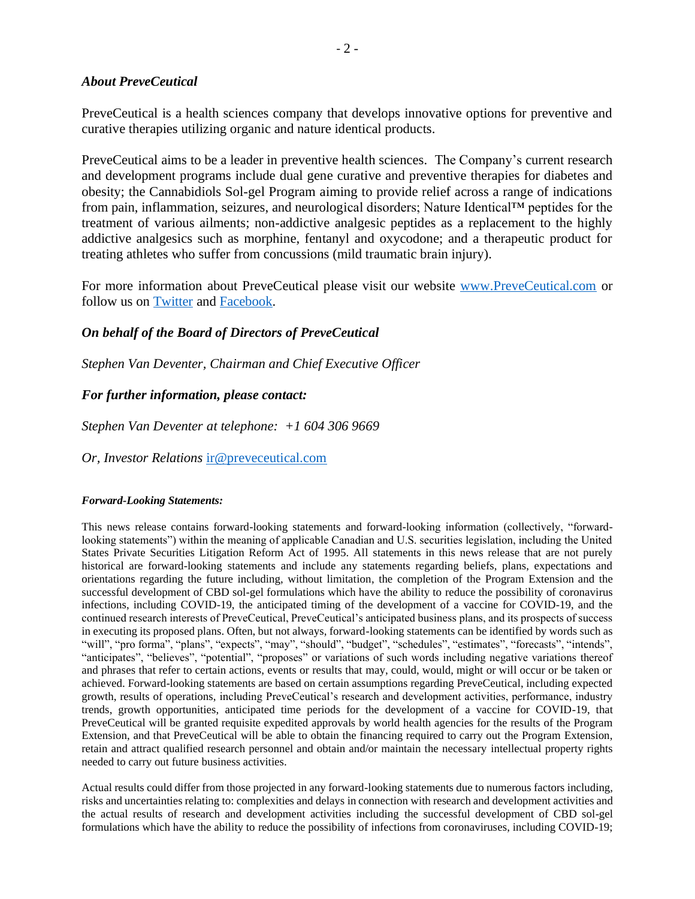### *About PreveCeutical*

PreveCeutical is a health sciences company that develops innovative options for preventive and curative therapies utilizing organic and nature identical products.

PreveCeutical aims to be a leader in preventive health sciences. The Company's current research and development programs include dual gene curative and preventive therapies for diabetes and obesity; the Cannabidiols Sol-gel Program aiming to provide relief across a range of indications from pain, inflammation, seizures, and neurological disorders; Nature Identical™ peptides for the treatment of various ailments; non-addictive analgesic peptides as a replacement to the highly addictive analgesics such as morphine, fentanyl and oxycodone; and a therapeutic product for treating athletes who suffer from concussions (mild traumatic brain injury).

For more information about PreveCeutical please visit our website [www.PreveCeutical.com](http://www.preveceutical.com/) or follow us on [Twitter](http://twitter.com/PreveCeuticals) and [Facebook.](http://www.facebook.com/PreveCeutical)

# *On behalf of the Board of Directors of PreveCeutical*

*Stephen Van Deventer, Chairman and Chief Executive Officer*

# *For further information, please contact:*

*Stephen Van Deventer at telephone: +1 604 306 9669*

*Or, Investor Relations* [ir@preveceutical.com](mailto:ir@preveceutical.com)

### *Forward-Looking Statements:*

This news release contains forward-looking statements and forward-looking information (collectively, "forwardlooking statements") within the meaning of applicable Canadian and U.S. securities legislation, including the United States Private Securities Litigation Reform Act of 1995. All statements in this news release that are not purely historical are forward-looking statements and include any statements regarding beliefs, plans, expectations and orientations regarding the future including, without limitation, the completion of the Program Extension and the successful development of CBD sol-gel formulations which have the ability to reduce the possibility of coronavirus infections, including COVID-19, the anticipated timing of the development of a vaccine for COVID-19, and the continued research interests of PreveCeutical, PreveCeutical's anticipated business plans, and its prospects of success in executing its proposed plans. Often, but not always, forward-looking statements can be identified by words such as "will", "pro forma", "plans", "expects", "may", "should", "budget", "schedules", "estimates", "forecasts", "intends", "anticipates", "believes", "potential", "proposes" or variations of such words including negative variations thereof and phrases that refer to certain actions, events or results that may, could, would, might or will occur or be taken or achieved. Forward-looking statements are based on certain assumptions regarding PreveCeutical, including expected growth, results of operations, including PreveCeutical's research and development activities, performance, industry trends, growth opportunities, anticipated time periods for the development of a vaccine for COVID-19, that PreveCeutical will be granted requisite expedited approvals by world health agencies for the results of the Program Extension, and that PreveCeutical will be able to obtain the financing required to carry out the Program Extension, retain and attract qualified research personnel and obtain and/or maintain the necessary intellectual property rights needed to carry out future business activities.

Actual results could differ from those projected in any forward-looking statements due to numerous factors including, risks and uncertainties relating to: complexities and delays in connection with research and development activities and the actual results of research and development activities including the successful development of CBD sol-gel formulations which have the ability to reduce the possibility of infections from coronaviruses, including COVID-19;